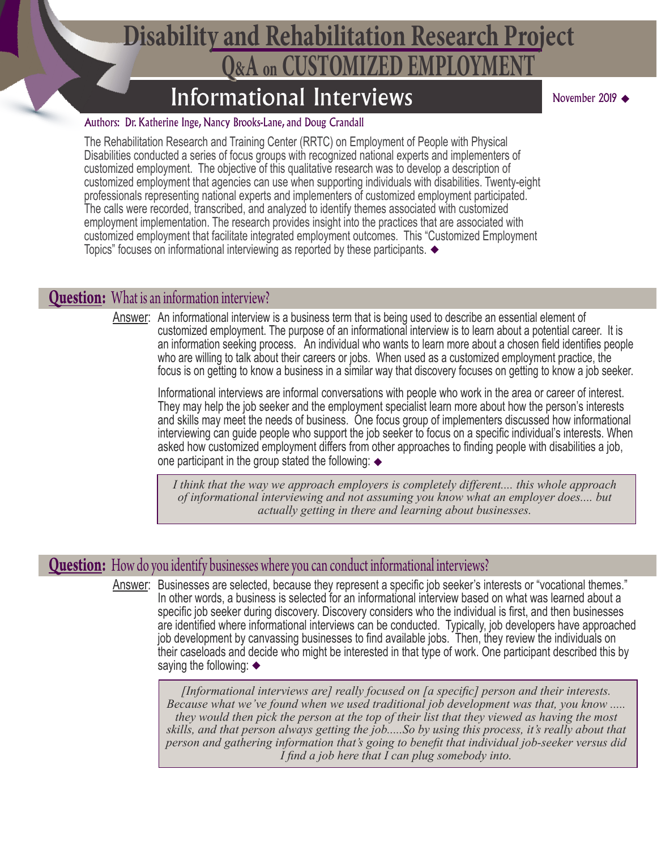## **Q&A on CUSTOMIZED EMPLOYMENT Disability and Rehabilitation Research Project**

### Informational Interviews

® November 2019

#### Authors: Dr. Katherine Inge, Nancy Brooks-Lane, and Doug Crandall

The Rehabilitation Research and Training Center (RRTC) on Employment of People with Physical Disabilities conducted a series of focus groups with recognized national experts and implementers of customized employment. The objective of this qualitative research was to develop a description of customized employment that agencies can use when supporting individuals with disabilities. Twenty-eight professionals representing national experts and implementers of customized employment participated. The calls were recorded, transcribed, and analyzed to identify themes associated with customized employment implementation. The research provides insight into the practices that are associated with customized employment that facilitate integrated employment outcomes. This "Customized Employment Topics" focuses on informational interviewing as reported by these participants. ®

#### **Question:** What is an information interview?

Answer: An informational interview is a business term that is being used to describe an essential element of customized employment. The purpose of an informational interview is to learn about a potential career. It is an information seeking process. An individual who wants to learn more about a chosen field identifies people who are willing to talk about their careers or jobs. When used as a customized employment practice, the focus is on getting to know a business in a similar way that discovery focuses on getting to know a job seeker.

Informational interviews are informal conversations with people who work in the area or career of interest. They may help the job seeker and the employment specialist learn more about how the person's interests and skills may meet the needs of business. One focus group of implementers discussed how informational interviewing can guide people who support the job seeker to focus on a specific individual's interests. When asked how customized employment differs from other approaches to finding people with disabilities a job, one participant in the group stated the following:  $\blacklozenge$ 

*I think that the way we approach employers is completely different.... this whole approach of informational interviewing and not assuming you know what an employer does.... but actually getting in there and learning about businesses.*

### **Question:** How do you identify businesses where you can conduct informational interviews?

Answer: Businesses are selected, because they represent a specific job seeker's interests or "vocational themes." In other words, a business is selected for an informational interview based on what was learned about a specific job seeker during discovery. Discovery considers who the individual is first, and then businesses are identified where informational interviews can be conducted. Typically, job developers have approached job development by canvassing businesses to find available jobs. Then, they review the individuals on their caseloads and decide who might be interested in that type of work. One participant described this by saying the following:  $\blacklozenge$ 

> *[Informational interviews are] really focused on [a specific] person and their interests. Because what we've found when we used traditional job development was that, you know ..... they would then pick the person at the top of their list that they viewed as having the most skills, and that person always getting the job.....So by using this process, it's really about that person and gathering information that's going to benefit that individual job-seeker versus did I find a job here that I can plug somebody into.*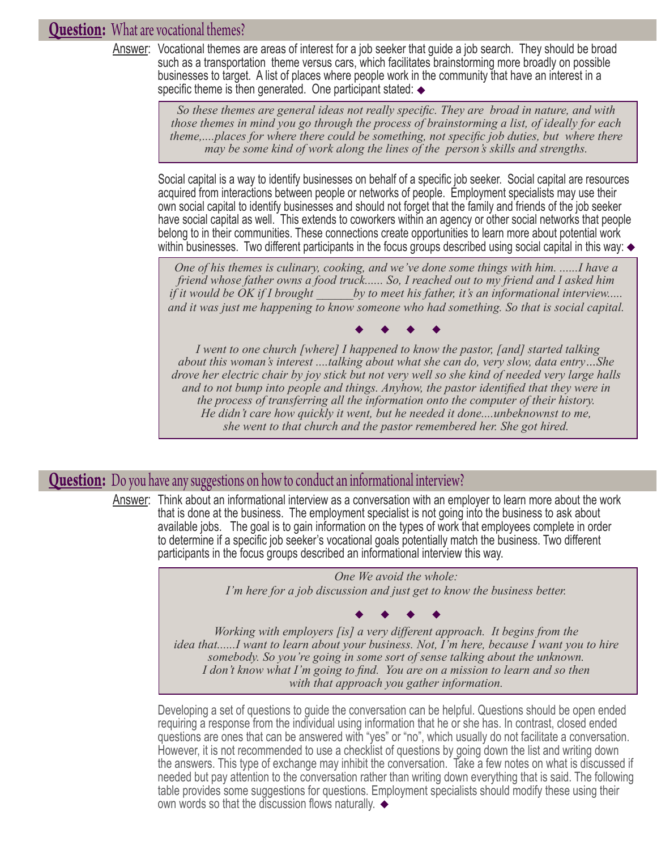### **Question:** What are vocational themes?

Answer: Vocational themes are areas of interest for a job seeker that guide a job search. They should be broad such as a transportation theme versus cars, which facilitates brainstorming more broadly on possible businesses to target. A list of places where people work in the community that have an interest in a specific theme is then generated. One participant stated: ®

> So these themes are general ideas not really specific. They are broad in nature, and with **the set of the set of the set of the set of the set of the set of the set of the set of the set of the set of the set of the set of** *those themes in mind you go through the process of brainstorming a list, of ideally for each theme,....places for where there could be something, not specific job duties, but where there may be some kind of work along the lines of the person's skills and strengths.*

Social capital is a way to identify businesses on behalf of a specific job seeker. Social capital are resources acquired from interactions between people or networks of people. Employment specialists may use their own social capital to identify businesses and should not forget that the family and friends of the job seeker have social capital as well. This extends to coworkers within an agency or other social networks that people belong to in their communities. These connections create opportunities to learn more about potential work within businesses. Two different participants in the focus groups described using social capital in this way: ®

® *and it was just me happening to know someone who had something. So that is social capital. One of his themes is culinary, cooking, and we've done some things with him. ......I have a friend whose father owns a food truck...... So, I reached out to my friend and I asked him if it would be OK if I brought by to meet his father, it's an informational interview.....* 

*I went to one church [where] I happened to know the pastor, [and] started talking about this woman's interest ....talking about what she can do, very slow, data entry…She drove her electric chair by joy stick but not very well so she kind of needed very large halls and to not bump into people and things. Anyhow, the pastor identified that they were in the process of transferring all the information onto the computer of their history. He didn't care how quickly it went, but he needed it done....unbeknownst to me, she went to that church and the pastor remembered her. She got hired.*  $\begin{array}{ccccccccccccccccc} \bullet & \bullet & \bullet & \bullet & \bullet & \bullet & \bullet \end{array}$ 

#### **Question:** Do you have any suggestions on how to conduct an informational interview?

Answer: Think about an informational interview as a conversation with an employer to learn more about the work that is done at the business. The employment specialist is not going into the business to ask about available jobs. The goal is to gain information on the types of work that employees complete in order to determine if a specific job seeker's vocational goals potentially match the business. Two different participants in the focus groups described an informational interview this way.

> *One We avoid the whole: I'm here for a job discussion and just get to know the business better.*

*Working with employers [is] a very different approach. It begins from the idea that......I want to learn about your business. Not, I'm here, because I want you to hire somebody. So you're going in some sort of sense talking about the unknown. I don't know what I'm going to find. You are on a mission to learn and so then with that approach you gather information.*  $\begin{array}{ccccccccccccccccc} \bullet & \bullet & \bullet & \bullet & \bullet & \bullet & \bullet \end{array}$ 

Developing a set of questions to guide the conversation can be helpful. Questions should be open ended requiring a response from the individual using information that he or she has. In contrast, closed ended questions are ones that can be answered with "yes" or "no", which usually do not facilitate a conversation. However, it is not recommended to use a checklist of questions by going down the list and writing down the answers. This type of exchange may inhibit the conversation. Take a few notes on what is discussed if needed but pay attention to the conversation rather than writing down everything that is said. The following table provides some suggestions for questions. Employment specialists should modify these using their own words so that the discussion flows naturally. ®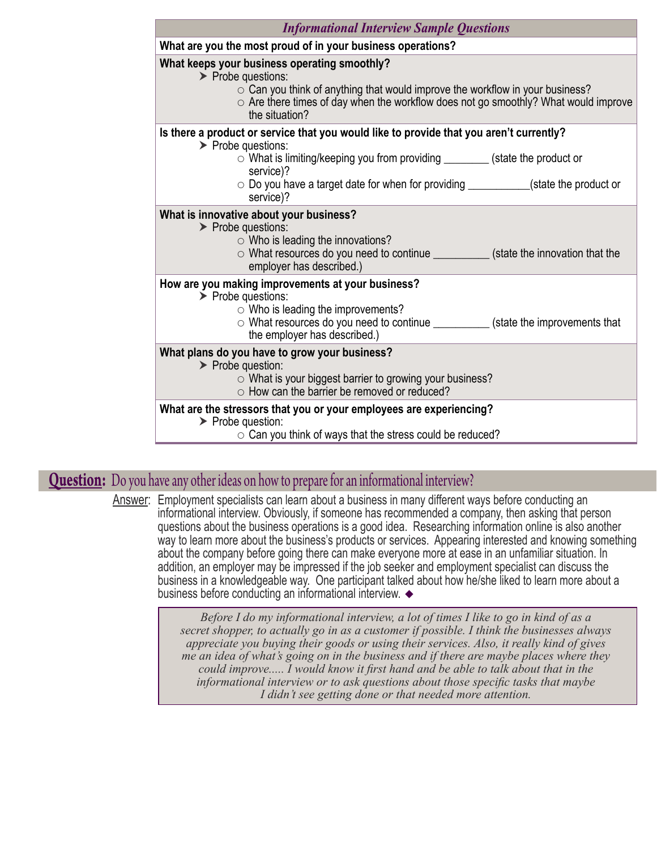| <b>Informational Interview Sample Questions</b>                                                                                                                                                                                                                                                                                          |
|------------------------------------------------------------------------------------------------------------------------------------------------------------------------------------------------------------------------------------------------------------------------------------------------------------------------------------------|
| What are you the most proud of in your business operations?                                                                                                                                                                                                                                                                              |
| What keeps your business operating smoothly?<br>$\triangleright$ Probe questions:<br>$\circ$ Can you think of anything that would improve the workflow in your business?<br>$\circ$ Are there times of day when the workflow does not go smoothly? What would improve<br>the situation?                                                  |
| Is there a product or service that you would like to provide that you aren't currently?<br>$\triangleright$ Probe questions:<br>$\circ$ What is limiting/keeping you from providing ________ (state the product or<br>service)?<br>$\circ$ Do you have a target date for when for providing __________(state the product or<br>service)? |
| What is innovative about your business?<br>$\triangleright$ Probe questions:<br>$\circ$ Who is leading the innovations?<br>○ What resources do you need to continue ___________(state the innovation that the<br>employer has described.)                                                                                                |
| How are you making improvements at your business?<br>$\triangleright$ Probe questions:<br>$\circ$ Who is leading the improvements?<br>○ What resources do you need to continue ____________ (state the improvements that<br>the employer has described.)                                                                                 |
| What plans do you have to grow your business?<br>$\triangleright$ Probe question:<br>$\circ$ What is your biggest barrier to growing your business?<br>○ How can the barrier be removed or reduced?                                                                                                                                      |
| What are the stressors that you or your employees are experiencing?<br>$\triangleright$ Probe question:<br>$\circ$ Can you think of ways that the stress could be reduced?                                                                                                                                                               |

### **Question:** Do you have any other ideas on how to prepare for an informational interview?

Answer: Employment specialists can learn about a business in many different ways before conducting an informational interview. Obviously, if someone has recommended a company, then asking that person questions about the business operations is a good idea. Researching information online is also another way to learn more about the business's products or services. Appearing interested and knowing something about the company before going there can make everyone more at ease in an unfamiliar situation. In addition, an employer may be impressed if the job seeker and employment specialist can discuss the business in a knowledgeable way. One participant talked about how he/she liked to learn more about a business before conducting an informational interview. ®

> *Before I do my informational interview, a lot of times I like to go in kind of as a secret shopper, to actually go in as a customer if possible. I think the businesses always appreciate you buying their goods or using their services. Also, it really kind of gives me an idea of what's going on in the business and if there are maybe places where they could improve..... I would know it first hand and be able to talk about that in the informational interview or to ask questions about those specific tasks that maybe I didn't see getting done or that needed more attention.*